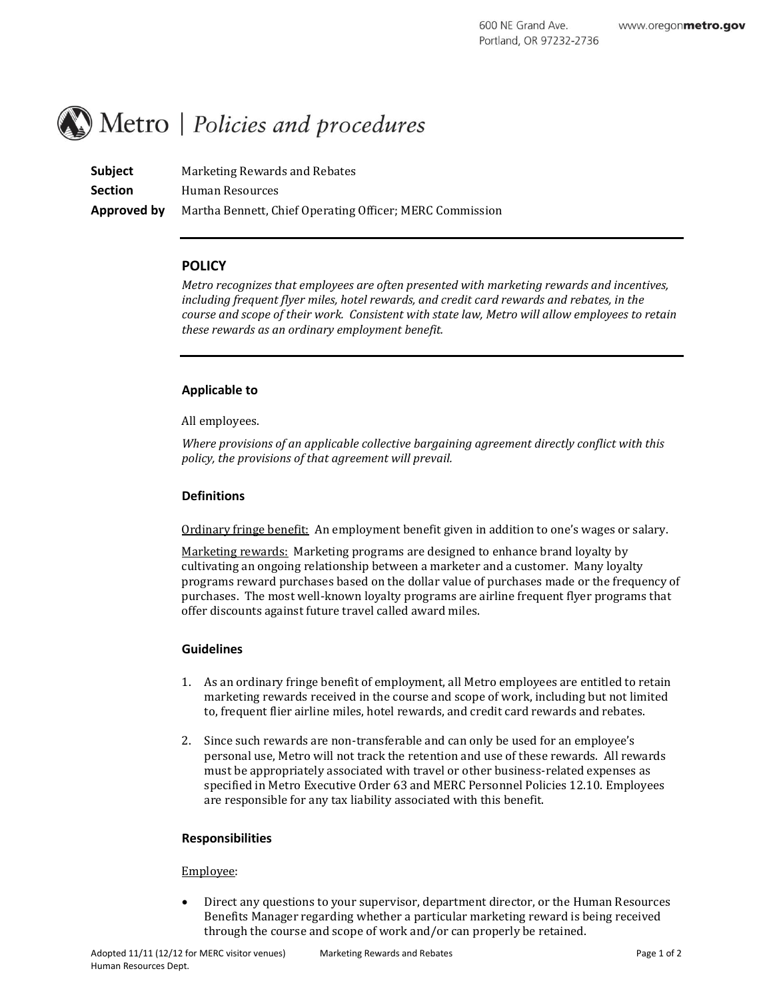# Metro | Policies and procedures

**Subject** Marketing Rewards and Rebates **Section** Human Resources **Approved by** Martha Bennett, Chief Operating Officer; MERC Commission

# **POLICY**

*Metro recognizes that employees are often presented with marketing rewards and incentives, including frequent flyer miles, hotel rewards, and credit card rewards and rebates, in the course and scope of their work. Consistent with state law, Metro will allow employees to retain these rewards as an ordinary employment benefit.*

# **Applicable to**

All employees.

*Where provisions of an applicable collective bargaining agreement directly conflict with this policy, the provisions of that agreement will prevail.*

# **Definitions**

Ordinary fringe benefit: An employment benefit given in addition to one's wages or salary.

Marketing rewards: Marketing programs are designed to enhance brand loyalty by cultivating an ongoing relationship between a marketer and a customer. Many loyalty programs reward purchases based on the dollar value of purchases made or the frequency of purchases. The most well-known loyalty programs are airline frequent flyer programs that offer discounts against future travel called award miles.

### **Guidelines**

- 1. As an ordinary fringe benefit of employment, all Metro employees are entitled to retain marketing rewards received in the course and scope of work, including but not limited to, frequent flier airline miles, hotel rewards, and credit card rewards and rebates.
- 2. Since such rewards are non-transferable and can only be used for an employee's personal use, Metro will not track the retention and use of these rewards. All rewards must be appropriately associated with travel or other business-related expenses as specified in Metro Executive Order 63 and MERC Personnel Policies 12.10. Employees are responsible for any tax liability associated with this benefit.

# **Responsibilities**

### Employee:

 Direct any questions to your supervisor, department director, or the Human Resources Benefits Manager regarding whether a particular marketing reward is being received through the course and scope of work and/or can properly be retained.